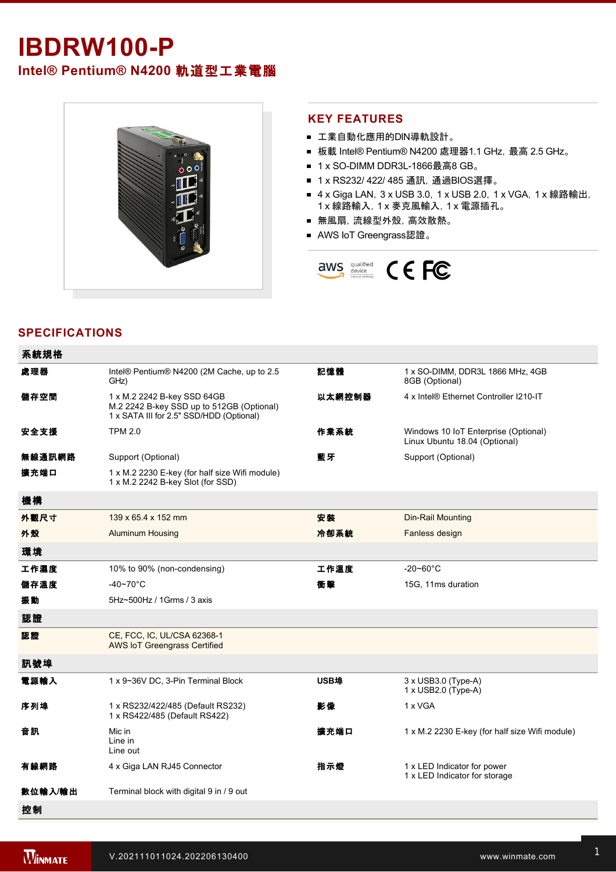# **IBDRW100-P**

**Intel® Pentium® N4200** 軌道型工業電腦



#### **KEY FEATURES**

- 工業自動化應用的DIN導軌設計。
- 板載 Intel® Pentium® N4200 處理器1.1 GHz, 最高 2.5 GHz。
- 1 x SO-DIMM DDR3L-1866最高8 GB。
- 1 x RS232/ 422/ 485 通訊, 通過BIOS選擇。
- 4 x Giga LAN, 3 x USB 3.0, 1 x USB 2.0, 1 x VGA, 1 x 線路輸出, 1 x 線路輸入,1 x 麥克風輸入,1 x 電源插孔。
- 無風扇,流線型外殼,高效散熱。
- AWS IoT Greengrass認證。



## **SPECIFICATIONS**

| 系統規格    |                                                                                                                      |             |                                                                       |  |
|---------|----------------------------------------------------------------------------------------------------------------------|-------------|-----------------------------------------------------------------------|--|
| 處理器     | Intel® Pentium® N4200 (2M Cache, up to 2.5<br>GHz)                                                                   | 記憶體         | 1 x SO-DIMM, DDR3L 1866 MHz, 4GB<br>8GB (Optional)                    |  |
| 儲存空間    | 1 x M.2 2242 B-key SSD 64GB<br>M.2 2242 B-key SSD up to 512GB (Optional)<br>1 x SATA III for 2.5" SSD/HDD (Optional) | 以太網控制器      | 4 x Intel® Ethernet Controller I210-IT                                |  |
| 安全支援    | <b>TPM 2.0</b>                                                                                                       | 作業系統        | Windows 10 IoT Enterprise (Optional)<br>Linux Ubuntu 18.04 (Optional) |  |
| 無線通訊網路  | Support (Optional)                                                                                                   | 藍牙          | Support (Optional)                                                    |  |
| 擴充端口    | 1 x M.2 2230 E-key (for half size Wifi module)<br>1 x M.2 2242 B-key Slot (for SSD)                                  |             |                                                                       |  |
| 機構      |                                                                                                                      |             |                                                                       |  |
| 外觀尺寸    | 139 x 65.4 x 152 mm                                                                                                  | 安装          | <b>Din-Rail Mounting</b>                                              |  |
| 外殼      | <b>Aluminum Housing</b>                                                                                              | 冷卻系統        | Fanless design                                                        |  |
| 環境      |                                                                                                                      |             |                                                                       |  |
| 工作濕度    | 10% to 90% (non-condensing)                                                                                          | 工作溫度        | $-20 - 60^{\circ}$ C                                                  |  |
| 儲存溫度    | -40~70 $^{\circ}$ C                                                                                                  | 衝擊          | 15G, 11ms duration                                                    |  |
| 振動      | 5Hz~500Hz / 1Grms / 3 axis                                                                                           |             |                                                                       |  |
| 認證      |                                                                                                                      |             |                                                                       |  |
| 認證      | CE, FCC, IC, UL/CSA 62368-1<br><b>AWS IoT Greengrass Certified</b>                                                   |             |                                                                       |  |
| 訊號埠     |                                                                                                                      |             |                                                                       |  |
| 電源輸入    | 1 x 9~36V DC, 3-Pin Terminal Block                                                                                   | <b>USB埠</b> | $3 \times$ USB $3.0$ (Type-A)<br>1 x USB2.0 (Type-A)                  |  |
| 序列埠     | 1 x RS232/422/485 (Default RS232)<br>1 x RS422/485 (Default RS422)                                                   | 影像          | 1 x VGA                                                               |  |
| 音訊      | Mic in<br>Line in<br>Line out                                                                                        | 擴充端口        | 1 x M.2 2230 E-key (for half size Wifi module)                        |  |
| 有線網路    | 4 x Giga LAN RJ45 Connector                                                                                          | 指示燈         | 1 x LED Indicator for power<br>1 x LED Indicator for storage          |  |
| 數位輸入/輸出 | Terminal block with digital 9 in / 9 out                                                                             |             |                                                                       |  |
| 控制      |                                                                                                                      |             |                                                                       |  |

配件